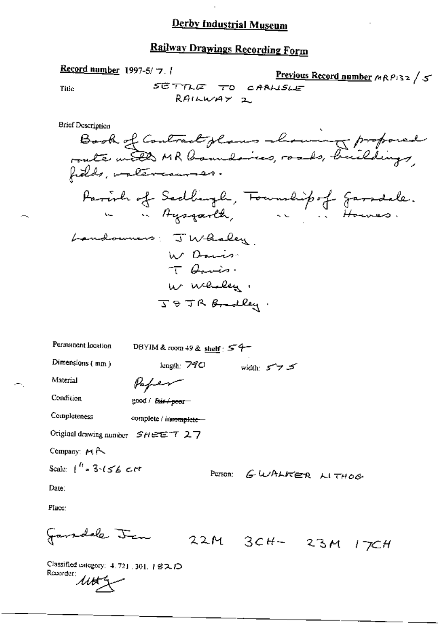# Railway Drawings Recording Form

Classines.<br>Recorder:<br>MALL Classified category: 4, 721, 301, 182, D

÷.

Record number 1997-5/7. /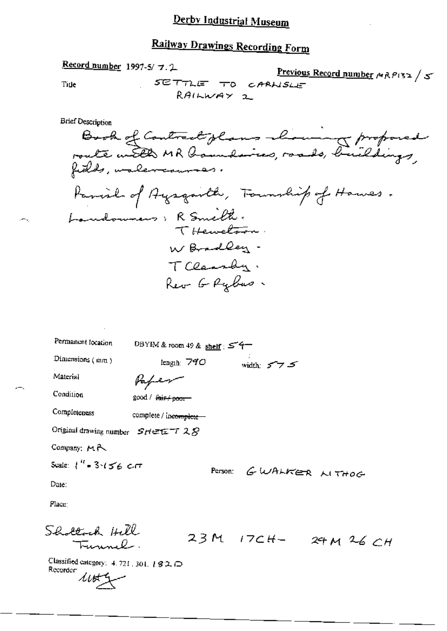Record number 1997-5/7.2 Previous Record number MRPISZ / 5 SETTLE TO CARNSLE Tide RAILWAY 2 **Brief Description** Book of Contract glans alouning proposed<br>route with MR laundaires, roads, buildings,<br>fields, walercourses. Parish of Ayegarth, Foundity of Hawes. Londonners: R Smith. THewetnon. WBradley. TClassly. Reo G Rybus. Permanent location DBYIM & room 49 & shelf : 54 Dimensions (mm) width:  $5 - 7$   $5$ length:  $740$ Material Paper Condition good / fair / poor Completeness complete / incomplete -Original drawing number SHEET 28 Company: MR Scale:  $1'' - 3.156$  cm Person: GWALKER LITHOG Date:  $Place:$ Shallach Hill 23M 17CH- 24M 26CH Tunnel.

Classified category:  $4.721$ , 301, 182. $\Box$ Recorder:  $40 + 2$ 

. —.,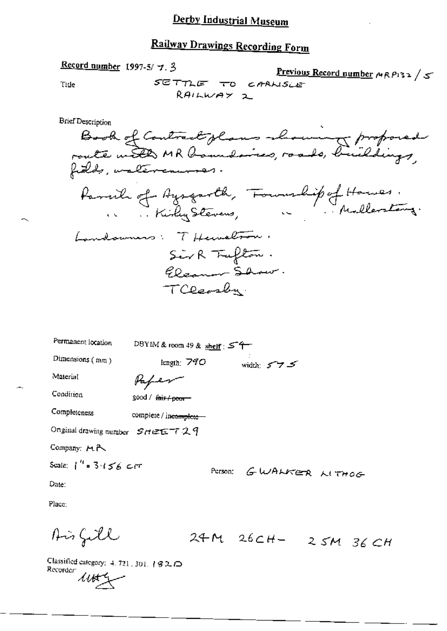SETTLE TO CARLISLE

Previous Record number MRP132 /5

RAILWAY 2 **Brief Description** Book of Contract glans showing proposed<br>route with MR boundaires, roads, buildings,<br>fields, walercourses. Landowners: THewelton, Sirk Trufton. Eleanor Show. TCDomba. Permanent location DBYIM & room 49 & shelf :  $54$ Dimensions (mm) width: 5735 length:  $790$ Material Paper Condition good / <del>fair/ poor -</del> Completeness complete / incomplete-Onginal drawing number  $S$ HEET29 Company:  $M \rightarrow \infty$ Scale:  $1''$  = 3-156 cm Person: GWALKER LITHOG Date:

Place:

Aisfill

24M 26CH- 25M 36CH

Classified category:  $4.721, 301, 182, 0$ Recorder:  $445 -$ 

Record number 1997-5/ 7.3

Title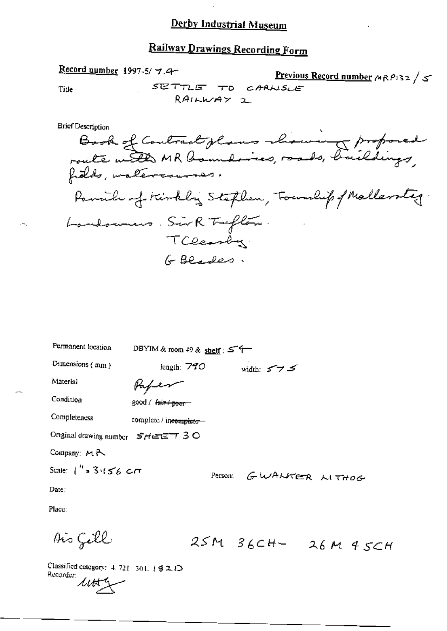# Railway Drawings Recording Form

# Record number 1997-5/7.4

Previous Record number MRP132 / 5 SETTLE TO CARLISLE

Title

RAILWAY 2

**Brief Description** 

| Permanent location               | DBYIM & room 49 & shelf; $57$ |         |                    |  |
|----------------------------------|-------------------------------|---------|--------------------|--|
| Dimensions (mm)                  | length: $770$                 |         | width: $5 - 7$ $5$ |  |
| Material                         | Hapen                         |         |                    |  |
| Condition                        | good / fair / poor-           |         |                    |  |
| Completeness                     | complete / incomplete-        |         |                    |  |
| Original drawing number SHEET 30 |                               |         |                    |  |
| Company: MR                      |                               |         |                    |  |
| Scale: $1''$ = 3.156 cm          |                               | Person: | GWALKER LITHOG     |  |
| Date:                            |                               |         |                    |  |

Place:

Ais Gell

 $25M$   $36CH-26M$   $45CH$ 

Classified category: 4, 721-301, 1921O Recorder:  $\mu$ 

 $\overline{a}$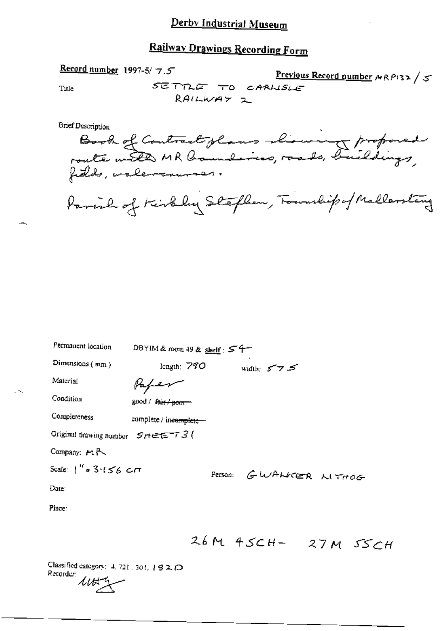# Railway Drawings Recording Form

Book of Contract plans mining proposed

Parish of Kirkley Stephen, Foundipo/Mallerstang

| Permanent location                      | DBYIM & room 49 & shelf: $54-$      |
|-----------------------------------------|-------------------------------------|
| Dimensions $(mm)$                       | width: $5 - 7 = 5$<br>length: $790$ |
| Макла                                   |                                     |
| Condition                               | good / fair / pom                   |
| Completeness                            | complete / incomplete-              |
| Original drawing number $S$ Hetz $T3$ ( |                                     |
| Company: MR                             |                                     |
| Scale: $1''$ = 3.156 $CT$               | GWALKER LITHOG<br>Person:           |
| Date:                                   |                                     |
| Place:                                  |                                     |
|                                         |                                     |

26M 45CH- 27M 55CH

Title

 $\sim$ 

**Brief Description** 

Record number 1997-5/7.5

SETTLE TO CARLISLE  $RAIWWAY$   $2$ 

Previous Record number MRP132/5

Classified category: 4, 721, 301, 192 D Recorder:  $44 + 4$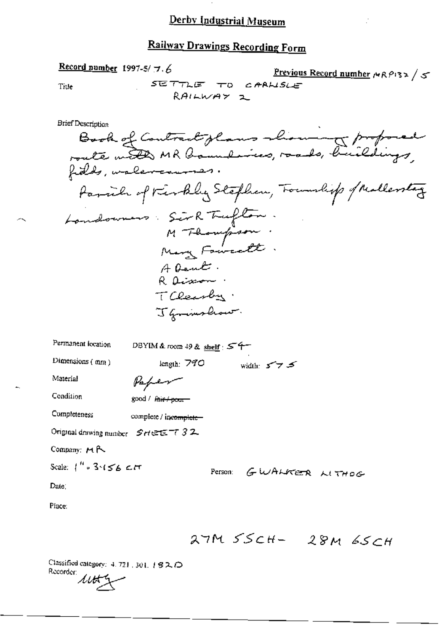## Railway Drawings Recording Form

Record number 1997-5/ $\pi$ .6 Previous Record number  $MRP$ 132 / 5 SETTLE TO CARLISLE Title RAILWAY 1 Book of Contract glans showing proposed **Brief Description** Family of Kirkley Stephen, Township of Mallentery Landonness Sirk Tufton.<br>M Thompson:<br>Mary Foureett: A Dent. R aission TClearby. J Gramshow. Permanent location DBYIM & room 49 & shelf  $54$ Dimensions (mm) length:  $770$ width:  $577.5$ Material Paper Condition good / fair / pour Completeness complete / incomplete-Original drawing number  $S H \in \mathbb{Z}$ <sup>-7</sup> 32 Company: MR Scale:  $1''$  = 3  $(56 \leq t$ Person: GWALKER LITHOG Date: Place: 27M SSCH- 28M 6SCH

Classified category: 4, 721, 301, 182.0 Recorder:  $\mu$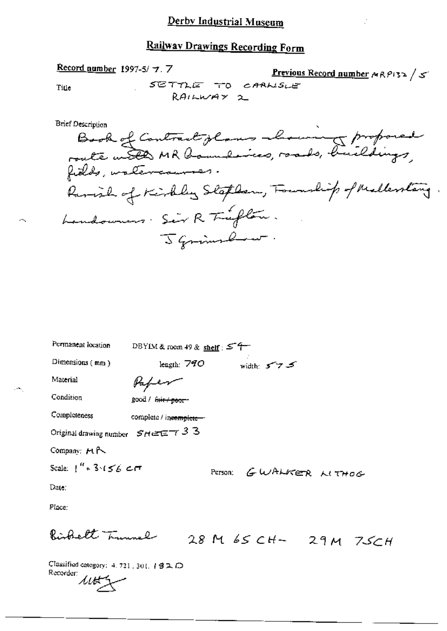Record number 1997-5/7.7 Previous Record number  $\wedge R$ P132 /  $\leq$ SETTLE TO CARLISLE Title  $RAIWWAY$  2 Book of Contract glass abouring proposed **Brief Description** Ramish of Kirkley Staplan, Foundity of Mallenting. Landowners. Sir R Trufton. J Grimslaw. Permanent location DBYIM & room 49 & shelf:  $54$ width:  $575$ Dimensions (mm) length:  $740$ 

Material

Paper

good / <del>fair / poor -</del>

Condition

Completeness complete / incomplete-

Original drawing number  $SHEET$  33

Company: MR

Scale:  $1'' = 3.156$  cm

PETSON: GWALKER LITHOG

Date:

Place:

Righelt Trunnel

28 M 65 CH- 29 M 75CH

Classified category: 4, 721, 301, 192 D Recorder:  $\mu$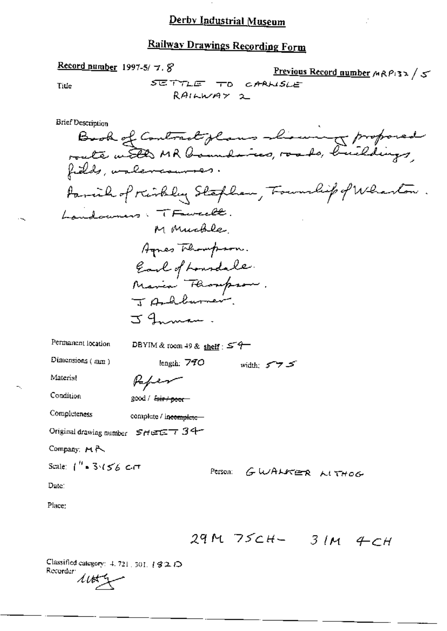# **Railway Drawings Recording Form**

Record number 1997-5/7.8 Previous Record number  $M \wedge P$  3> / 5 SETTLE TO CARNSLE Title RAILWAY 2 Brief Description Book of Contract glans his wing proposed fields, unlevermons. Parcial of Kirkley Stephen, Township of Wharton. Landouners. TFawcell. M Muchle, Agnes Thompson. Earl of Lourdale.<br>Maria Fliompson. JARburner J Innan. Permanent location DBYIM & room 49 & shelf:  $5.4$ Dimensions (mm) length: 790 width: 575 Material Paper Condition good / fair / poor Completeness complete / incomplete-Original drawing number SHEET 34 Company: MR Scale:  $1''$  = 3.4  $5$  6.6  $\sigma$   $\sigma$ Person: GWALKER LITHOG Date: Place:

29M 75CH- 3IM 4CH

Classified category:  $4.721, 301, 192.$   $\bigcirc$ Recorder:  $445 -$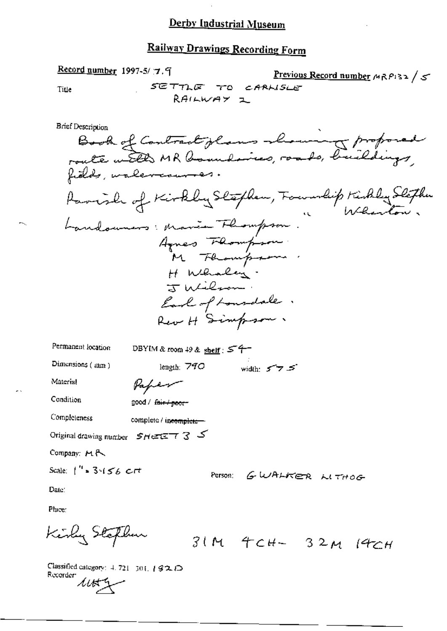## Railway Drawings Recording Form

Record number 1997-5/7.9 Previous Record number  $M \wedge P$ 132/5 SETTLE TO CARLISLE Title RAILWAY Z **Brief Description** Bisk of Contract glans showing proposed<br>route with MR boundaires, roads, buildings,<br>fields, walevernmes. Parish of Kirkley Stephen, Foundit Kirkley Stephen Landounces: Marie Flompson. Agnes Flompson H Whaley. TWilson. Earl of Lonsdale. Rev H Simpson. Permanent location DBYIM & room 49 & shelf;  $54-$ Dimensions (mm) length:  $790$  width:  $5755$ Material Paper Condition good / fair / poor-Completeness complete / incomplete-Original drawing number  $S H \in \mathbb{Z}$  7 3 5 Company: MR Scale:  $1''$  = 3.156  $Crt$ Person: GWALKER MTHOG Date: Place: Kirly Steflun

 $31M$  4cH-  $32M$  14cH

Classified category:  $4.721 - 301$ ,  $192$   $\bigcirc$ Recorder  $11113$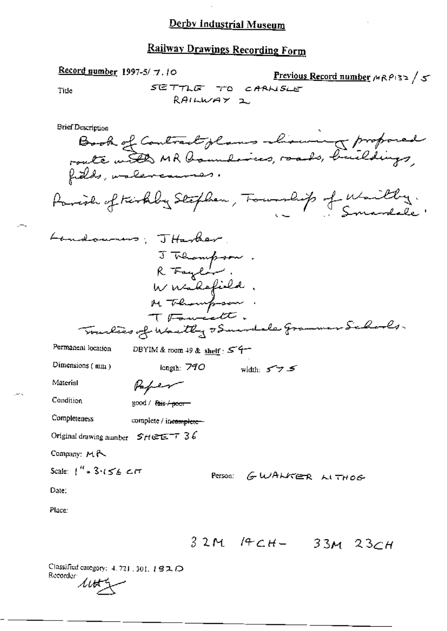# Railway Drawings Recording Form

| Record number 1997-5/ $\tau$ , 10<br>ک / Frevious Record number ۸۹۶۱۰۶ / ۳<br>SETTLE TO CARNSLE<br>Tide<br>RAILWAY 2                                                                        |
|---------------------------------------------------------------------------------------------------------------------------------------------------------------------------------------------|
| <b>Brief Description</b><br>Book of Contract plans showing proposed<br>route with MR houndaries, roads, buildings,<br>fields, unlevenmen.<br>Parish of teirkby Stephen, Township of Waitly. |
| Landouning; THarter,<br>J Thampson.<br>R Faylor.<br>Wirakefield.<br>M Thempson.<br>T Found the.                                                                                             |
| Trackers of Wartley & Sucred ale Grammar Schools.<br>Permanent location<br>DBYIM & room 49 & shelf $557$                                                                                    |
| Dimensions $(mu)$<br>length. 790<br>width: 5 アラ                                                                                                                                             |
| Material<br>Vaper                                                                                                                                                                           |
| Condition<br>good / fair / poor                                                                                                                                                             |
| Completeness<br>complete / ineamplete-                                                                                                                                                      |
| Original drawing number $SHE^{\pm}T36$                                                                                                                                                      |
| Company: MR                                                                                                                                                                                 |
| Scale: $1''$ = 3.156 $\epsilon$ $\pi$<br>Person: GWALKER LITHOG                                                                                                                             |
| Date:                                                                                                                                                                                       |
| Place:                                                                                                                                                                                      |
| $14CH -$<br>3 2 M<br>$33M$ $23CH$                                                                                                                                                           |

Classifica<br>Recorder  $\mathcal{U}\rightarrow$ Classified category:  $4.721$ ,  $301$ ,  $192$ ,  $\bigcirc$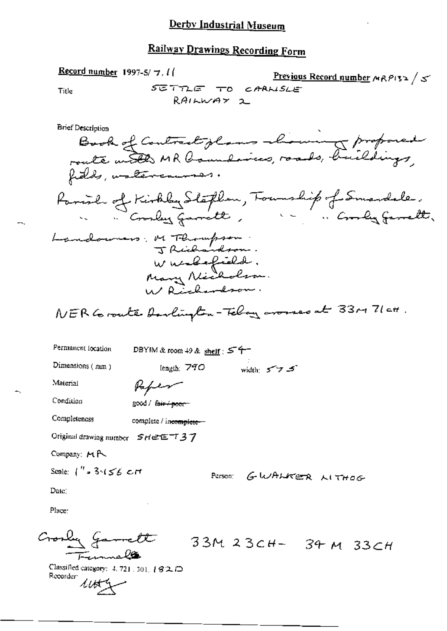# Railway Drawings Recording Form

Record number 1997-5/ $\pm$ . I Previous Record number  $MRP$ 132 / 5 SETTLE TO CARNSLE Title RAILWAY 2 **Brief Description** Book of Contract glans almin & proposed Parish of Kirkley Stephen, Tounship of Smardale.<br>Coorder Garrett, Landowners; M Thompson: Wurdefield.<br>Mary Nicholson.<br>W Richardson. NER Coronte Anolington-Telay arouses at 3300 71 ct. Permanent location DBYIM & room  $+9$  & shelf:  $57$ Dimensions (num) length:  $790$ width:  $577.5$ Material Paper Condition good / fair + poor-Completeness complete / incomplete-Original drawing number  $S H \in \mathbb{Z}$   $7$ Company: MR Scale:  $1''$  = 3  $(56$  cH Person: G-WALKER LITHOG-Date: Place:

33M 23CH- 34 M 33CH

Classified category: 4, 721, 301, 182D Recorder  $4453$ 

Gorly Gamett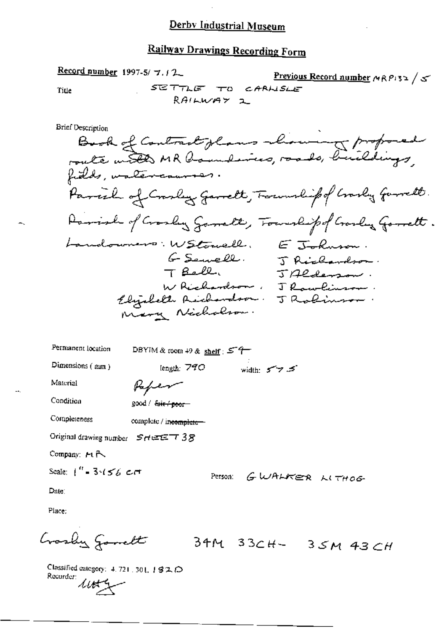## **Railway Drawings Recording Form**

Record number 1997-5/ $\tau$ .  $\tau$ Previous Record number MRP132 / 5 SETTLE TO CARLISLE Title RAILWAY 2 Brief Description Book of Contract glans chowing proposed fields, untercourses. Parcial of Crarley Garrett, Foundipof Crarly Garrett. Parish of Crosley Sameth, Township of Crosley Gomett. GSemell. EJohnson.<br>GSemell. Franson. Landowners: WStowell. J Richardson TBell. JAlderson. W Richardson, J Rowlinson Elijabeth Acidendron. J Robinson Permanent location DBYIM & room 49 & shelf:  $577$ Dimensions  $($  nm  $)$ width:  $5 - 7$   $\leq$ length: 790 Material Paper Condition good / fair + poor Completeness complete / incomplete-Original drawing number  $S$ HEET  $38$ Company: MR Scale:  $1'' - 3.656$  cm Person: GWALKER LITHOG Date:

Place:

Crasby Gamett

34M 33CH- 35M 43CH

Classified category: 4, 721, 301, 1920 Recorder:  $44.4$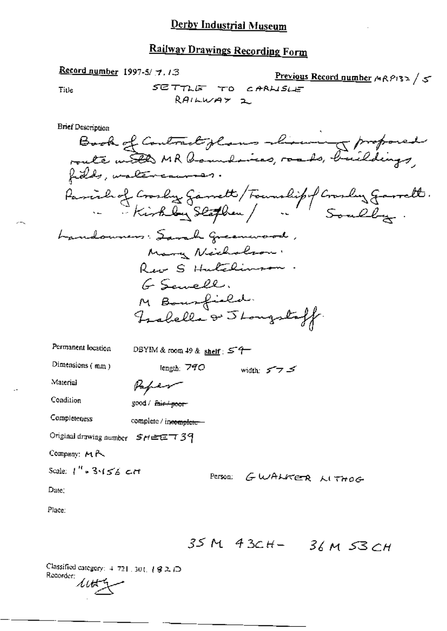# **Railway Drawings Recording Form**

Record number 1997-5/ 7.13 Previous Record number MRPI32/5 SETTLE TO CARLISLE Title  $RAIWWAY$  2 **Brief Description** Book of Contract glans showing proposed<br>route with MR boundaries, roads, buildings,<br>fields, waltercourses. Parishof Crosby Garrett / Foundipf Crosby Garrett.<br>En Kirkby Slathen / Louly Souley. Landounces: Sarah Greenwood, Mary Neichalson. Rear S Hutchinson G Sewell. M Bourfield. Fralella & Stongstaff. Permanent location DBYIM & room 49 & shelf:  $54$ Dimensions (mm) length: 790 width:  $5 - 7$   $5$ Material Paper Condition good / fair + poor Completeness complete / incomplete Original drawing number  $SHETT39$ Company: MR Scale:  $1''$  = 3.156 cm Person: GWALKER LITHOG Date, Place:

35 M 43CH- 36 M 53 CH

Classified category:  $4.721 \cdot 30$  (,  $\sqrt{92.12}$ Recorder:  $\Lambda t$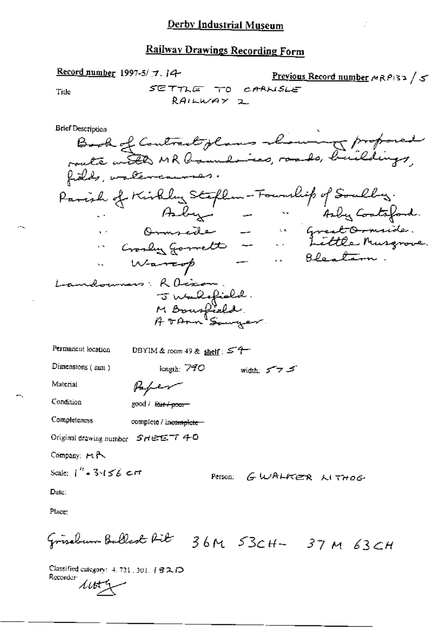Record number 1997-5/7.14 Previous Record number  $M \wedge P$ 132 / 5 SETTLE TO CARNSLE Title  $RAI workY$  2 **Brief Description** Book of Contract glass chowing proposed fields, untercourses. Parish of Kirkley Stephen-Foundit of Soultry.<br>Aber - Aber 41by Contesford.<br>Domseite - Great Ormside.<br>Crosley Gorrett - Little Musqrove.<br>Warrerp - Bleatam. andowners: Raison. J Walefield DBYIM & room 49 & shelf:  $54$ Permanent location Dimensions (mm) length:  $790$ width:  $5 - 7$ Paper Material Condition good / fair / poor-Completeness complete / incomplete-Original drawing number SHEET 40 Company: HR Scale:  $\int_0^h -3\sqrt{56}$  cm Person: GWALKER LITHOG Date: Place: Frischung Ballast Rit 36M 53CH- 37M 63CH

Classified category: 4, 721, 301, 1 3 2, 12 Recorder:  $445$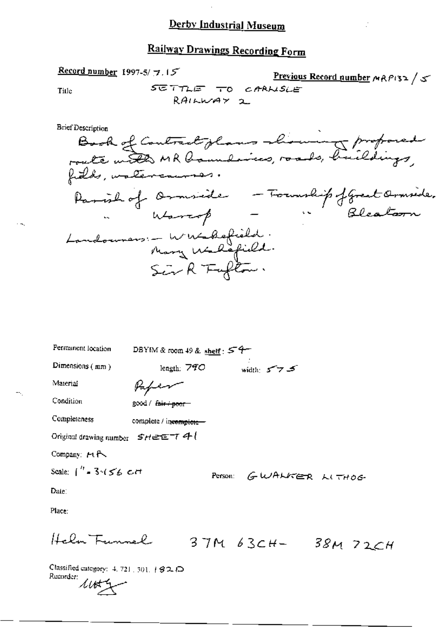# **Railway Drawings Recording Form**

Previous Record number  $MRT/52$ 

SETTLE TO CARNSLE Title RAILWAY 2 **Brief Description** Book of Contract glass showing proposed Parish of Ormside - Foundip fgreat Ormside.<br>"Warresp" - "Bleatarn" Londonners :- Winsbefield. Permanent location DBYIM & room 49 & shelf:  $54$ length: 790 width:  $575$ Dimensions (mm) Material Paper Condition good / fair + poor-Completeness complete / incomplete-

Original drawing number  $SHEET4$  (

Record number 1997-5/ $7.15$ 

Company: MR

Scale:  $\int_{0}^{t_1}$  = 3  $\sqrt{56}$  c/t

Person: GWALKER LITHOG-

Date:

Place:

Helm Funnel

 $37M$   $63CH - 38M$   $72CH$ 

Classified category: 4, 721, 301, 182, D Rucordor: 11th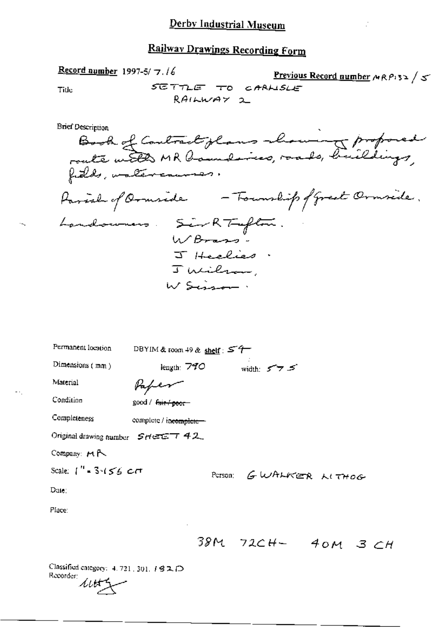Record number 1997-5/7.16 Previous Record number  $\wedge R$   $\wedge$  3>  $\swarrow$ SETTLE TO CARLISLE Title RAILWAY 2 **Brief Description** Book of Contract glans showing proposed Parish of Ormside - Township of Great Ormside. Landowners. Sir RT-efter. J Heelies. Julilan, W Sisson. Permanent location DBYIM & toom 49 & shelf:  $57$ 

| Dimensions $(mn)$                                      | length: $740$          |         | width: メフェ     |  |  |
|--------------------------------------------------------|------------------------|---------|----------------|--|--|
| Material                                               | Vaper                  |         |                |  |  |
| Condition                                              | good / fair / poor-    |         |                |  |  |
| Completeness                                           | complete / incomplete- |         |                |  |  |
| Original drawing number $S H \in \mathbb{C}$ $\top$ 42 |                        |         |                |  |  |
| Company: MR                                            |                        |         |                |  |  |
| Scale: $\int_{0}^{H}$ = 3-155 cm                       |                        | Person: | GWALKER LITHOG |  |  |
| Date:                                                  |                        |         |                |  |  |
| Place:                                                 |                        |         |                |  |  |
|                                                        | ٠                      |         |                |  |  |

 $38M$   $72CH-$  40M 3 CH

Classified category: 4.721, 301, 182D Recorder:  $4165$ 

 $\ddotsc$ 

 $\overline{\phantom{a}}$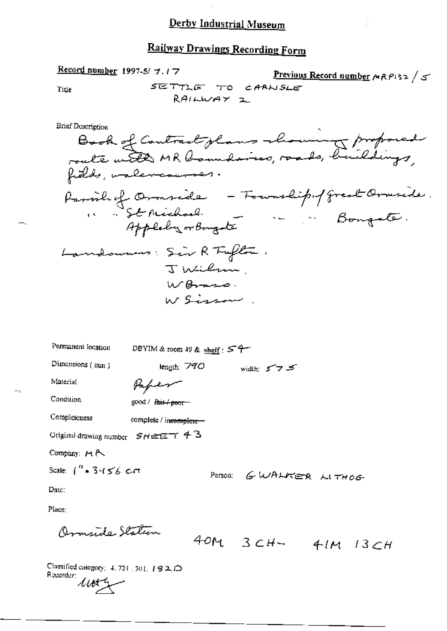### **Railway Drawings Recording Form**

SETTLE TO CARNSLE

RAILWAY 2

Previous Record number  $MRP$ 132 / 5

**Brief Description** Book of Contract glass showing proposed Parishof Ormside - Fourthipof great Ormside.<br>1. St Michael. - Counselipof great Ormside.<br>Appleby or Bongota Landowners: Sir R Fufter: J Wilson W Brass. W Singer Permanent location DBYIM & room 49 & shelf:  $57$ Dimensions (mm) length:  $790$ width:  $575$ Material Paper Condition good / Fair / poor-Completeness complete / incomplete-Original drawing number  $S_H \cong \Xi^+ \in \mathcal{A}$ Company: H A Scale:  $1''$  = 3.456 cm

Person: GWALKER LITHOG

Date:

Place:

armyrde Station

Record number 1997-5/ 7.17

Tile

40M  $3CH-41M$  13CH

Classified category: 4, 721, 301, 192D Recorder:  $445 -$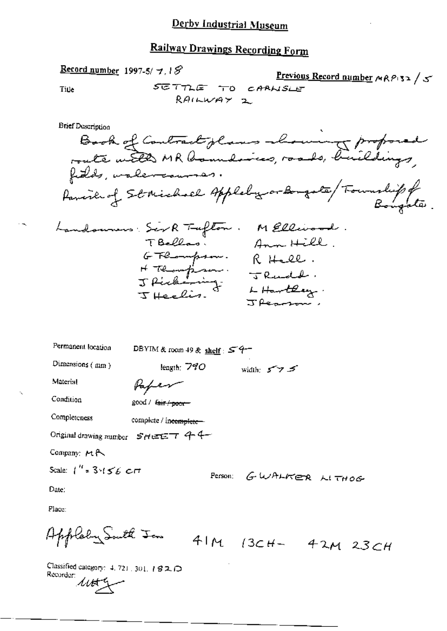# **Railway Drawings Recording Form**

Previous Record number MRP132 / 5

SETTLE TO CARNSLE Title  $RAIWWAY$  2 **Brief Description** Book of Contract plans also in proposed<br>route with MR boundaries, roads, buildings, family of St Michael Appleby or Bongate / Township of Landournes Ser R Tufton. M Ellisond.<br>T Bellos: Ann Hill.<br>G Tlompson. R Hell.<br>H Tlompson: T Rudd.<br>J Richards: T Rudd.<br>T Heelis. Hartley.  $J$  Represents Permanent location DBYIM & room 49 & shelf:  $54-$ Dimensions (mm) length:  $740$ width:  $5 - 7$   $5$ Material Paper Condition good / fair / poor-Completeness complete / incomplete-Original drawing number  $SHEET$  44 Company: MA Scale:  $1''$  = 3  $1 \leq k$  or Person: GWALKER LITHOG Date: Place:

Applaby South Jon

Record number 1997-5/7.18

 $41M$   $(3CH - 42M)$   $23CH$ 

Classified category: 4, 721, 301, 182D Recorder:  $1002$